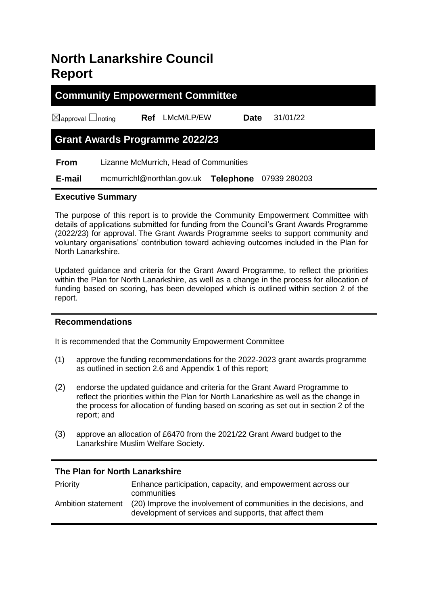# **North Lanarkshire Council Report**

# **Community Empowerment Committee**

☒approval ☐noting **Ref** LMcM/LP/EW **Date** 31/01/22

# **Grant Awards Programme 2022/23**

 **From** Lizanne McMurrich, Head of Communities

 **E-mail** mcmurrichl@northlan.gov.uk **Telephone** 07939 280203

## **Executive Summary**

The purpose of this report is to provide the Community Empowerment Committee with details of applications submitted for funding from the Council's Grant Awards Programme (2022/23) for approval. The Grant Awards Programme seeks to support community and voluntary organisations' contribution toward achieving outcomes included in the Plan for North Lanarkshire.

Updated guidance and criteria for the Grant Award Programme, to reflect the priorities within the Plan for North Lanarkshire, as well as a change in the process for allocation of funding based on scoring, has been developed which is outlined within section 2 of the report.

#### **Recommendations**

It is recommended that the Community Empowerment Committee

- (1) approve the funding recommendations for the 2022-2023 grant awards programme as outlined in section 2.6 and Appendix 1 of this report;
- (2) endorse the updated guidance and criteria for the Grant Award Programme to reflect the priorities within the Plan for North Lanarkshire as well as the change in the process for allocation of funding based on scoring as set out in section 2 of the report; and
- (3) approve an allocation of £6470 from the 2021/22 Grant Award budget to the Lanarkshire Muslim Welfare Society.

# **The Plan for North Lanarkshire**

| <b>Priority</b>    | Enhance participation, capacity, and empowerment across our<br>communities                                                  |
|--------------------|-----------------------------------------------------------------------------------------------------------------------------|
| Ambition statement | (20) Improve the involvement of communities in the decisions, and<br>development of services and supports, that affect them |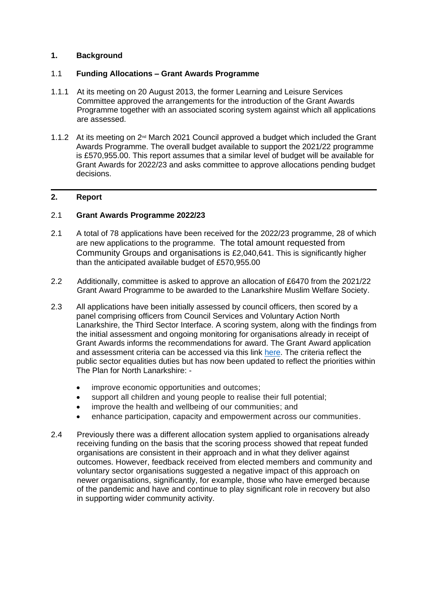## **1. Background**

#### 1.1 **Funding Allocations – Grant Awards Programme**

- 1.1.1 At its meeting on 20 August 2013, the former Learning and Leisure Services Committee approved the arrangements for the introduction of the Grant Awards Programme together with an associated scoring system against which all applications are assessed.
- 1.1.2 At its meeting on 2<sup>nd</sup> March 2021 Council approved a budget which included the Grant Awards Programme. The overall budget available to support the 2021/22 programme is £570,955.00. This report assumes that a similar level of budget will be available for Grant Awards for 2022/23 and asks committee to approve allocations pending budget decisions.

## **2. Report**

#### 2.1 **Grant Awards Programme 2022/23**

- 2.1 A total of 78 applications have been received for the 2022/23 programme, 28 of which are new applications to the programme. The total amount requested from Community Groups and organisations is £2,040,641. This is significantly higher than the anticipated available budget of £570,955.00
- 2.2 Additionally, committee is asked to approve an allocation of £6470 from the 2021/22 Grant Award Programme to be awarded to the Lanarkshire Muslim Welfare Society.
- 2.3 All applications have been initially assessed by council officers, then scored by a panel comprising officers from Council Services and Voluntary Action North Lanarkshire, the Third Sector Interface. A scoring system, along with the findings from the initial assessment and ongoing monitoring for organisations already in receipt of Grant Awards informs the recommendations for award. The Grant Award application and assessment criteria can be accessed via this link [here.](https://www.northlanarkshire.gov.uk/your-community/community-grants-and-awards/grant-awards-programme) The criteria reflect the public sector equalities duties but has now been updated to reflect the priorities within The Plan for North Lanarkshire: -
	- improve economic opportunities and outcomes;
	- support all children and young people to realise their full potential;
	- improve the health and wellbeing of our communities; and
	- enhance participation, capacity and empowerment across our communities.
- 2.4 Previously there was a different allocation system applied to organisations already receiving funding on the basis that the scoring process showed that repeat funded organisations are consistent in their approach and in what they deliver against outcomes. However, feedback received from elected members and community and voluntary sector organisations suggested a negative impact of this approach on newer organisations, significantly, for example, those who have emerged because of the pandemic and have and continue to play significant role in recovery but also in supporting wider community activity.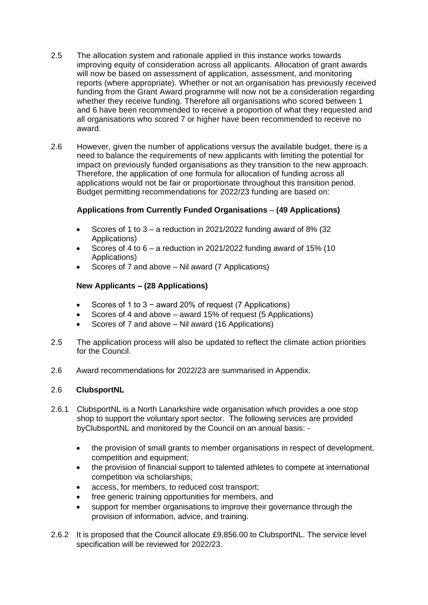- 2.5 The allocation system and rationale applied in this instance works towards improving equity of consideration across all applicants. Allocation of grant awards will now be based on assessment of application, assessment, and monitoring reports (where appropriate). Whether or not an organisation has previously received funding from the Grant Award programme will now not be a consideration regarding whether they receive funding. Therefore all organisations who scored between 1 and 6 have been recommended to receive a proportion of what they requested and all organisations who scored 7 or higher have been recommended to receive no award.
- 2.6 However, given the number of applications versus the available budget, there is a need to balance the requirements of new applicants with limiting the potential for impact on previously funded organisations as they transition to the new approach. Therefore, the application of one formula for allocation of funding across all applications would not be fair or proportionate throughout this transition period. Budget permitting recommendations for 2022/23 funding are based on:

## **Applications from Currently Funded Organisations** – **(49 Applications)**

- Scores of 1 to  $3 a$  reduction in 2021/2022 funding award of 8% (32) Applications)
- Scores of 4 to  $6 a$  reduction in 2021/2022 funding award of 15% (10 Applications)
- Scores of 7 and above Nil award (7 Applications)

## **New Applicants – (28 Applications)**

- Scores of 1 to 3 − award 20% of request (7 Applications)
- Scores of 4 and above award 15% of request (5 Applications)
- Scores of 7 and above Nil award (16 Applications)
- 2.5 The application process will also be updated to reflect the climate action priorities for the Council.
- 2.6 Award recommendations for 2022/23 are summarised in Appendix.

#### 2.6 **ClubsportNL**

- 2.6.1 ClubsportNL is a North Lanarkshire wide organisation which provides a one stop shop to support the voluntary sport sector. The following services are provided byClubsportNL and monitored by the Council on an annual basis: -
	- the provision of small grants to member organisations in respect of development, competition and equipment;
	- the provision of financial support to talented athletes to compete at international competition via scholarships;
	- access, for members, to reduced cost transport;
	- free generic training opportunities for members, and
	- support for member organisations to improve their governance through the provision of information, advice, and training.
- 2.6.2 It is proposed that the Council allocate £9,856.00 to ClubsportNL. The service level specification will be reviewed for 2022/23.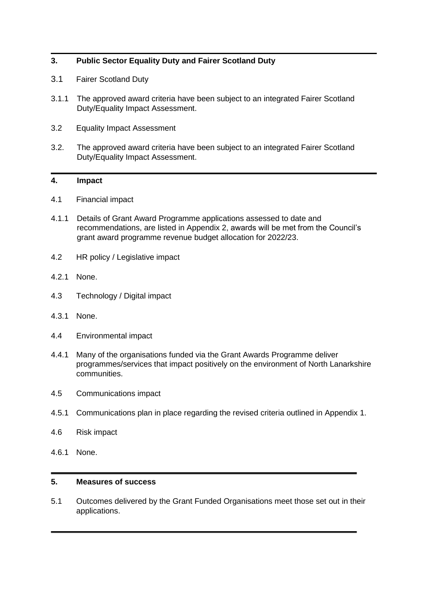## **3. Public Sector Equality Duty and Fairer Scotland Duty**

- 3.1 Fairer Scotland Duty
- 3.1.1 The approved award criteria have been subject to an integrated Fairer Scotland Duty/Equality Impact Assessment.
- 3.2 Equality Impact Assessment
- 3.2. The approved award criteria have been subject to an integrated Fairer Scotland Duty/Equality Impact Assessment.

#### **4. Impact**

- 4.1 Financial impact
- 4.1.1 Details of Grant Award Programme applications assessed to date and recommendations, are listed in Appendix 2, awards will be met from the Council's grant award programme revenue budget allocation for 2022/23.
- 4.2 HR policy / Legislative impact
- 4.2.1 None.
- 4.3 Technology / Digital impact
- 4.3.1 None.
- 4.4 Environmental impact
- 4.4.1 Many of the organisations funded via the Grant Awards Programme deliver programmes/services that impact positively on the environment of North Lanarkshire communities.
- 4.5 Communications impact
- 4.5.1 Communications plan in place regarding the revised criteria outlined in Appendix 1.
- 4.6 Risk impact
- 4.6.1 None.

#### **5. Measures of success**

5.1 Outcomes delivered by the Grant Funded Organisations meet those set out in their applications.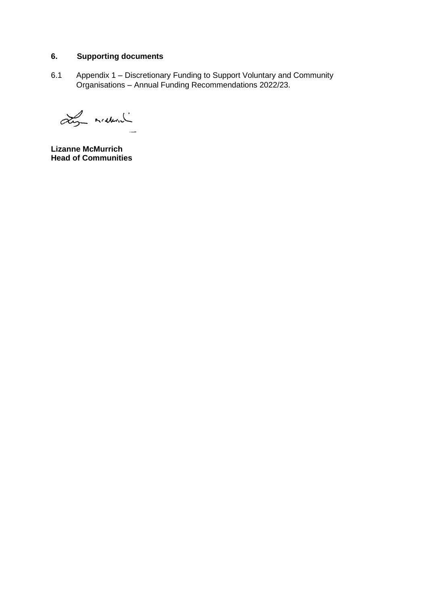# **6. Supporting documents**

6.1 Appendix 1 – Discretionary Funding to Support Voluntary and Community Organisations – Annual Funding Recommendations 2022/23.

Ly mideral

**Lizanne McMurrich Head of Communities**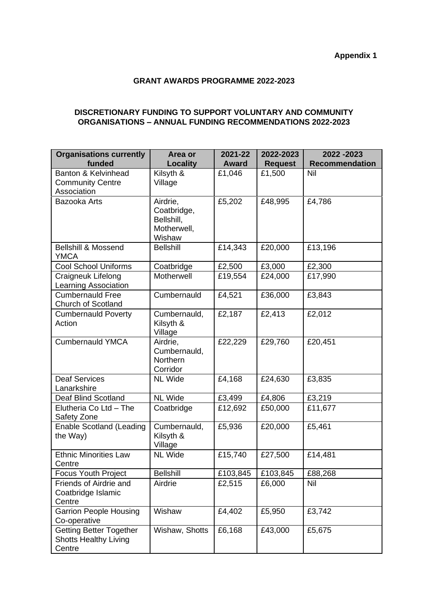## **GRANT AWARDS PROGRAMME 2022-2023**

#### **DISCRETIONARY FUNDING TO SUPPORT VOLUNTARY AND COMMUNITY ORGANISATIONS – ANNUAL FUNDING RECOMMENDATIONS 2022-2023**

| <b>Organisations currently</b><br>funded                                 | Area or<br><b>Locality</b>                                     | 2021-22<br>Award | 2022-2023<br><b>Request</b> | 2022 - 2023<br><b>Recommendation</b> |
|--------------------------------------------------------------------------|----------------------------------------------------------------|------------------|-----------------------------|--------------------------------------|
| Banton & Kelvinhead<br><b>Community Centre</b><br>Association            | Kilsyth &<br>Village                                           | £1,046           | £1,500                      | Nil                                  |
| Bazooka Arts                                                             | Airdrie,<br>Coatbridge,<br>Bellshill,<br>Motherwell,<br>Wishaw | £5,202           | £48,995                     | £4,786                               |
| <b>Bellshill &amp; Mossend</b><br>YMCA                                   | <b>Bellshill</b>                                               | £14,343          | £20,000                     | £13,196                              |
| <b>Cool School Uniforms</b>                                              | Coatbridge                                                     | £2,500           | £3,000                      | £2,300                               |
| Craigneuk Lifelong<br>Learning Association                               | Motherwell                                                     | £19,554          | £24,000                     | £17,990                              |
| <b>Cumbernauld Free</b><br><b>Church of Scotland</b>                     | Cumbernauld                                                    | £4,521           | £36,000                     | £3,843                               |
| <b>Cumbernauld Poverty</b><br>Action                                     | Cumbernauld,<br>Kilsyth &<br>Village                           | £2,187           | £2,413                      | £2,012                               |
| <b>Cumbernauld YMCA</b>                                                  | Airdrie,<br>Cumbernauld,<br>Northern<br>Corridor               | £22,229          | £29,760                     | £20,451                              |
| <b>Deaf Services</b><br>Lanarkshire                                      | <b>NL Wide</b>                                                 | £4,168           | £24,630                     | £3,835                               |
| Deaf Blind Scotland                                                      | <b>NL Wide</b>                                                 | £3,499           | £4,806                      | £3,219                               |
| Elutheria Co Ltd - The<br>Safety Zone                                    | Coatbridge                                                     | £12,692          | £50,000                     | £11,677                              |
| <b>Enable Scotland (Leading</b><br>the Way)                              | Cumbernauld,<br>Kilsyth &<br>Village                           | £5,936           | £20,000                     | £5,461                               |
| <b>Ethnic Minorities Law</b><br>Centre                                   | <b>NL Wide</b>                                                 | £15,740          | £27,500                     | £14,481                              |
| <b>Focus Youth Project</b>                                               | <b>Bellshill</b>                                               | £103,845         | £103,845                    | £88,268                              |
| Friends of Airdrie and<br>Coatbridge Islamic<br>Centre                   | Airdrie                                                        | £2,515           | £6,000                      | Nil                                  |
| <b>Garrion People Housing</b><br>Co-operative                            | Wishaw                                                         | £4,402           | £5,950                      | £3,742                               |
| <b>Getting Better Together</b><br><b>Shotts Healthy Living</b><br>Centre | Wishaw, Shotts                                                 | £6,168           | £43,000                     | £5,675                               |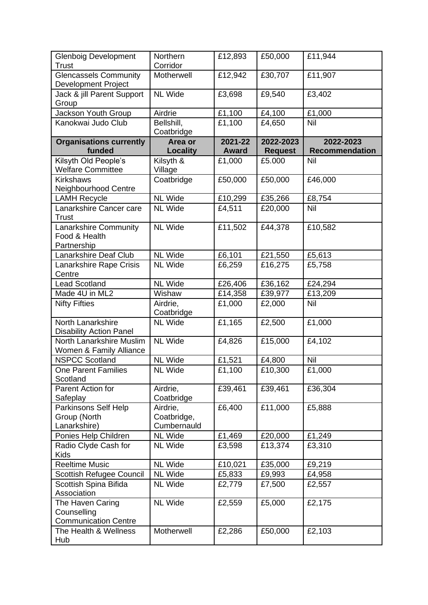| <b>Glenboig Development</b><br><b>Trust</b>                    | Northern<br>Corridor                   | £12,893                 | £50,000                     | £11,944                            |
|----------------------------------------------------------------|----------------------------------------|-------------------------|-----------------------------|------------------------------------|
| <b>Glencassels Community</b><br><b>Development Project</b>     | Motherwell                             | £12,942                 | £30,707                     | £11,907                            |
| Jack & jill Parent Support<br>Group                            | <b>NL Wide</b>                         | £3,698                  | £9,540                      | £3,402                             |
| Jackson Youth Group                                            | Airdrie                                | £1,100                  | £4,100                      | £1,000                             |
| Kanokwai Judo Club                                             | Bellshill,<br>Coatbridge               | £1,100                  | £4,650                      | Nil                                |
| <b>Organisations currently</b><br>funded                       | Area or<br>Locality                    | 2021-22<br><b>Award</b> | 2022-2023<br><b>Request</b> | 2022-2023<br><b>Recommendation</b> |
| Kilsyth Old People's<br><b>Welfare Committee</b>               | Kilsyth &<br>Village                   | £1,000                  | £5.000                      | Nil                                |
| <b>Kirkshaws</b><br>Neighbourhood Centre                       | Coatbridge                             | £50,000                 | £50,000                     | £46,000                            |
| <b>LAMH Recycle</b>                                            | <b>NL Wide</b>                         | £10,299                 | £35,266                     | £8,754                             |
| Lanarkshire Cancer care<br><b>Trust</b>                        | <b>NL Wide</b>                         | £4,511                  | £20,000                     | Nil                                |
| Lanarkshire Community<br>Food & Health<br>Partnership          | <b>NL Wide</b>                         | £11,502                 | £44,378                     | £10,582                            |
| Lanarkshire Deaf Club                                          | <b>NL Wide</b>                         | £6,101                  | £21,550                     | £5,613                             |
| Lanarkshire Rape Crisis<br>Centre                              | <b>NL Wide</b>                         | £6,259                  | £16,275                     | £5,758                             |
| <b>Lead Scotland</b>                                           | <b>NL Wide</b>                         | £26,406                 | £36,162                     | £24,294                            |
| Made 4U in ML2                                                 | Wishaw                                 | £14,358                 | £39,977                     | £13,209                            |
| <b>Nifty Fifties</b>                                           | Airdrie,<br>Coatbridge                 | £1,000                  | £2,000                      | Nil                                |
| North Lanarkshire<br><b>Disability Action Panel</b>            | <b>NL Wide</b>                         | £1,165                  | £2,500                      | £1,000                             |
| North Lanarkshire Muslim<br>Women & Family Alliance            | <b>NL Wide</b>                         | £4,826                  | £15,000                     | £4,102                             |
| <b>NSPCC Scotland</b>                                          | <b>NL Wide</b>                         | £1,521                  | £4,800                      | Nil                                |
| <b>One Parent Families</b><br>Scotland                         | <b>NL Wide</b>                         | £1,100                  | £10,300                     | £1,000                             |
| Parent Action for<br>Safeplay                                  | Airdrie,<br>Coatbridge                 | £39,461                 | £39,461                     | £36,304                            |
| Parkinsons Self Help<br>Group (North<br>Lanarkshire)           | Airdrie,<br>Coatbridge,<br>Cumbernauld | £6,400                  | £11,000                     | £5,888                             |
| Ponies Help Children                                           | <b>NL Wide</b>                         | £1,469                  | £20,000                     | £1,249                             |
| Radio Clyde Cash for<br><b>Kids</b>                            | <b>NL Wide</b>                         | £3,598                  | £13,374                     | £3,310                             |
| <b>Reeltime Music</b>                                          | <b>NL Wide</b>                         | £10,021                 | £35,000                     | £9,219                             |
| Scottish Refugee Council                                       | <b>NL Wide</b>                         | £5,833                  | £9,993                      | £4,958                             |
| Scottish Spina Bifida<br>Association                           | <b>NL Wide</b>                         | £2,779                  | £7,500                      | £2,557                             |
| The Haven Caring<br>Counselling<br><b>Communication Centre</b> | <b>NL Wide</b>                         | £2,559                  | £5,000                      | £2,175                             |
| The Health & Wellness<br>Hub                                   | Motherwell                             | £2,286                  | £50,000                     | £2,103                             |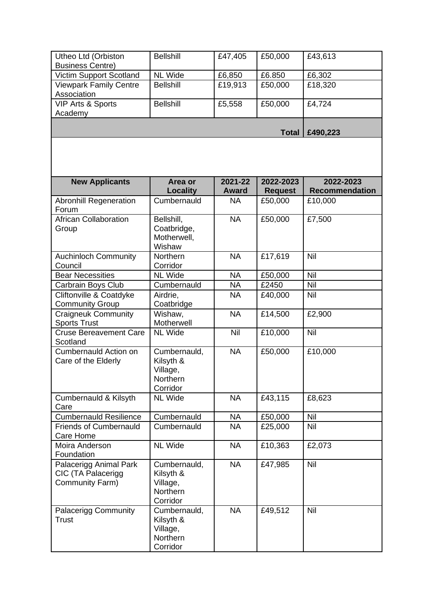| Utheo Ltd (Orbiston<br><b>Business Centre)</b>                  | <b>Bellshill</b>                                              | £47,405                 | £50,000                     | £43,613                            |
|-----------------------------------------------------------------|---------------------------------------------------------------|-------------------------|-----------------------------|------------------------------------|
| Victim Support Scotland                                         | <b>NL Wide</b>                                                | £6,850                  | £6.850                      | £6,302                             |
| <b>Viewpark Family Centre</b><br>Association                    | <b>Bellshill</b>                                              | £19,913                 | £50,000                     | £18,320                            |
| <b>VIP Arts &amp; Sports</b>                                    | <b>Bellshill</b>                                              | £5,558                  | £50,000                     | £4,724                             |
| Academy                                                         |                                                               |                         |                             |                                    |
|                                                                 |                                                               |                         | <b>Total</b>                | £490,223                           |
|                                                                 |                                                               |                         |                             |                                    |
| <b>New Applicants</b>                                           | Area or<br><b>Locality</b>                                    | 2021-22<br><b>Award</b> | 2022-2023<br><b>Request</b> | 2022-2023<br><b>Recommendation</b> |
| <b>Abronhill Regeneration</b><br>Forum                          | Cumbernauld                                                   | <b>NA</b>               | £50,000                     | £10,000                            |
| <b>African Collaboration</b><br>Group                           | Bellshill,<br>Coatbridge,<br>Motherwell,<br>Wishaw            | <b>NA</b>               | £50,000                     | £7,500                             |
| Auchinloch Community<br>Council                                 | Northern<br>Corridor                                          | <b>NA</b>               | £17,619                     | Nil                                |
| <b>Bear Necessities</b>                                         | <b>NL Wide</b>                                                | <b>NA</b>               | £50,000                     | Nil                                |
| Carbrain Boys Club                                              | Cumbernauld                                                   | <b>NA</b>               | £2450                       | Nil                                |
| Cliftonville & Coatdyke                                         | Airdrie,                                                      | <b>NA</b>               | £40,000                     | Nil                                |
| <b>Community Group</b>                                          | Coatbridge                                                    |                         |                             |                                    |
| <b>Craigneuk Community</b><br><b>Sports Trust</b>               | Wishaw,<br>Motherwell                                         | <b>NA</b>               | £14,500                     | £2,900                             |
| <b>Cruse Bereavement Care</b><br>Scotland                       | <b>NL Wide</b>                                                | Nil                     | £10,000                     | Nil                                |
| <b>Cumbernauld Action on</b><br>Care of the Elderly             | Cumbernauld,<br>Kilsyth &<br>Village,<br>Northern<br>Corridor | <b>NA</b>               | £50,000                     | £10,000                            |
| Cumbernauld & Kilsyth<br>Care                                   | <b>NL Wide</b>                                                | <b>NA</b>               | £43,115                     | £8,623                             |
| <b>Cumbernauld Resilience</b>                                   | Cumbernauld                                                   | <b>NA</b>               | £50,000                     | Nil                                |
| <b>Friends of Cumbernauld</b><br>Care Home                      | Cumbernauld                                                   | <b>NA</b>               | £25,000                     | Nil                                |
| Moira Anderson<br>Foundation                                    | <b>NL Wide</b>                                                | <b>NA</b>               | £10,363                     | £2,073                             |
| Palacerigg Animal Park<br>CIC (TA Palacerigg<br>Community Farm) | Cumbernauld,<br>Kilsyth &<br>Village,<br>Northern<br>Corridor | <b>NA</b>               | £47,985                     | Nil                                |
| <b>Palacerigg Community</b><br><b>Trust</b>                     | Cumbernauld,<br>Kilsyth &<br>Village,<br>Northern<br>Corridor | <b>NA</b>               | £49,512                     | Nil                                |